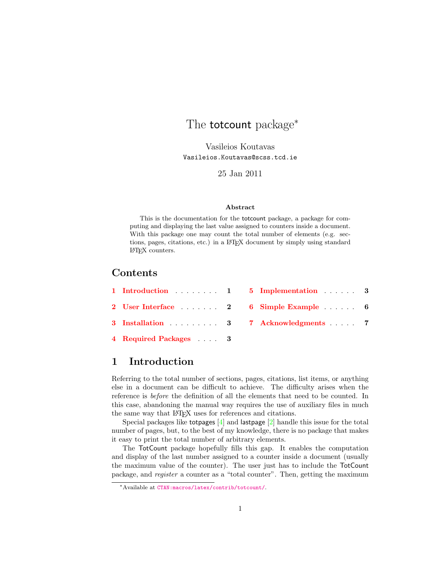## <span id="page-0-2"></span><span id="page-0-1"></span>The **totcount** package<sup>\*</sup>

Vasileios Koutavas Vasileios.Koutavas@scss.tcd.ie

25 Jan 2011

#### Abstract

This is the documentation for the totcount package, a package for computing and displaying the last value assigned to counters inside a document. With this package one may count the total number of elements (e.g. sections, pages, citations, etc.) in a LATEX document by simply using standard LATEX counters.

### Contents

|                       | 1 Introduction  1 5 Implementation  3 |  |
|-----------------------|---------------------------------------|--|
|                       | 2 User Interface 2 6 Simple Example 6 |  |
|                       | 3 Installation 3 7 Acknowledgments 7  |  |
| 4 Required Packages 3 |                                       |  |

#### <span id="page-0-0"></span>1 Introduction

Referring to the total number of sections, pages, citations, list items, or anything else in a document can be difficult to achieve. The difficulty arises when the reference is before the definition of all the elements that need to be counted. In this case, abandoning the manual way requires the use of auxiliary files in much the same way that LAT<sub>EX</sub> uses for references and citations.

Special packages like totpages [\[4\]](#page-7-1) and lastpage [\[2\]](#page-7-2) handle this issue for the total number of pages, but, to the best of my knowledge, there is no package that makes it easy to print the total number of arbitrary elements.

The TotCount package hopefully fills this gap. It enables the computation and display of the last number assigned to a counter inside a document (usually the maximum value of the counter). The user just has to include the TotCount package, and register a counter as a "total counter". Then, getting the maximum

<sup>∗</sup>Available at [CTAN:macros/latex/contrib/totcount/](http://www.ctan.org/tex-archive/macros/latex/contrib/totcount/).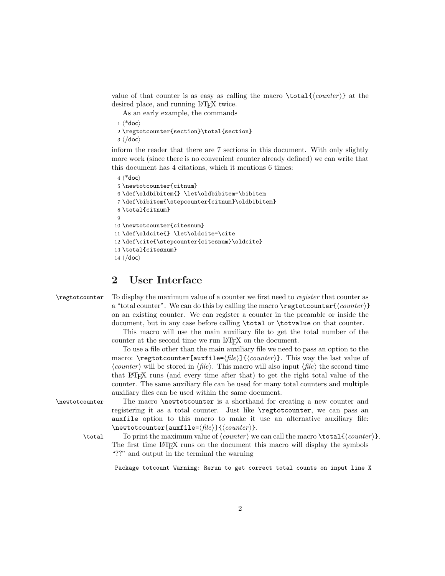value of that counter is as easy as calling the macro  $\text{total}\{\text{counter}\}\$  at the desired place, and running LAT<sub>E</sub>X twice.

As an early example, the commands

```
1 (*doc)
```

```
2 \regtotcounter{section}\total{section}
```
 $3 \langle /doc \rangle$ 

inform the reader that there are 7 sections in this document. With only slightly more work (since there is no convenient counter already defined) we can write that this document has 4 citations, which it mentions 6 times:

```
4 \langle * \text{doc} \rangle5 \newtotcounter{citnum}
 6 \def\oldbibitem{} \let\oldbibitem=\bibitem
 7 \def\bibitem{\stepcounter{citnum}\oldbibitem}
 8 \total{citnum}
 9
10 \newtotcounter{citesnum}
11 \def\oldcite{} \let\oldcite=\cite
12 \def\cite{\stepcounter{citesnum}\oldcite}
13 \total{citesnum}
14 \langle/doc\rangle
```
#### <span id="page-1-0"></span>2 User Interface

\regtotcounter To display the maximum value of a counter we first need to register that counter as a "total counter". We can do this by calling the macro  $\reg$ totcounter $\{counter\}$ on an existing counter. We can register a counter in the preamble or inside the document, but in any case before calling \total or \totvalue on that counter.

> This macro will use the main auxiliary file to get the total number of the counter at the second time we run LAT<sub>EX</sub> on the document.

> To use a file other than the main auxiliary file we need to pass an option to the macro: \regtotcounter [auxfile= $\langle file \rangle$ ] { $\langle counter \rangle$ }. This way the last value of  $\langle counter \rangle$  will be stored in  $\langle file \rangle$ . This macro will also input  $\langle file \rangle$  the second time that LATEX runs (and every time after that) to get the right total value of the counter. The same auxiliary file can be used for many total counters and multiple auxiliary files can be used within the same document.

\newtotcounter The macro \newtotcounter is a shorthand for creating a new counter and registering it as a total counter. Just like \regtotcounter, we can pass an auxfile option to this macro to make it use an alternative auxiliary file:  $\text{cluster}$ [auxfile= $\{file\}$ ]{ $\{counter\}$ .

\total To print the maximum value of  $\langle counter \rangle$  we can call the macro \total{ $\langle counter \rangle$ }. The first time LAT<sub>EX</sub> runs on the document this macro will display the symbols "??" and output in the terminal the warning

Package totcount Warning: Rerun to get correct total counts on input line X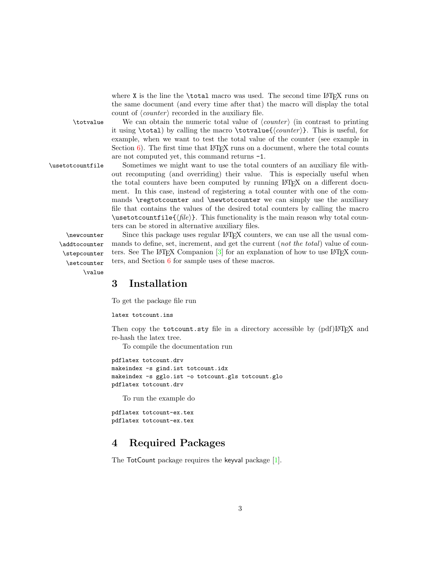where  $X$  is the line the  $\total$  macro was used. The second time LAT<sub>E</sub>X runs on the same document (and every time after that) the macro will display the total count of  $\langle counter \rangle$  recorded in the auxiliary file.

 $\text{totvalue}$  We can obtain the numeric total value of  $\text{counter}$  (in contrast to printing it using  $\total)$  by calling the macro  $\total \equiv {\counter}$ . This is useful, for example, when we want to test the total value of the counter (see example in Section  $6$ ). The first time that LATEX runs on a document, where the total counts are not computed yet, this command returns -1.

\usetotcountfile Sometimes we might want to use the total counters of an auxiliary file without recomputing (and overriding) their value. This is especially useful when the total counters have been computed by running LATEX on a different document. In this case, instead of registering a total counter with one of the commands \regtotcounter and \newtotcounter we can simply use the auxiliary file that contains the values of the desired total counters by calling the macro  $\text{user}$  /usetotcountfile{ $\langle file \rangle$ }. This functionality is the main reason why total counters can be stored in alternative auxiliary files.

\addtocounter \stepcounter \setcounter \value

\newcounter Since this package uses regular LATEX counters, we can use all the usual com mands to define, set, increment, and get the current (*not the total*) value of counters. See The LAT<sub>EX</sub> Companion  $\lceil 3 \rceil$  for an explanation of how to use LAT<sub>EX</sub> counters, and Section [6](#page-5-0) for sample uses of these macros.

#### <span id="page-2-0"></span>3 Installation

To get the package file run

latex totcount.ins

Then copy the totcount.sty file in a directory accessible by (pdf)LHEX and re-hash the latex tree.

To compile the documentation run

```
pdflatex totcount.drv
makeindex -s gind.ist totcount.idx
makeindex -s gglo.ist -o totcount.gls totcount.glo
pdflatex totcount.drv
```
To run the example do

pdflatex totcount-ex.tex pdflatex totcount-ex.tex

### <span id="page-2-1"></span>4 Required Packages

The TotCount package requires the keyval package [\[1\]](#page-7-4).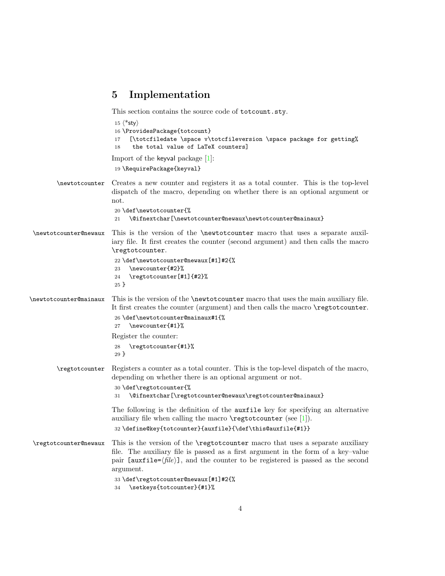#### <span id="page-3-0"></span>5 Implementation

This section contains the source code of totcount.sty.

```
15 \langle*sty\rangle16 \ProvidesPackage{totcount}
                          17 [\totcfiledate \space v\totcfileversion \space package for getting%
                          18 the total value of LaTeX counters]
                         Import of the keyval package [1]:
                          19 \RequirePackage{keyval}
        \newtotcounter Creates a new counter and registers it as a total counter. This is the top-level
                         dispatch of the macro, depending on whether there is an optional argument or
                         not.
                          20 \def\newtotcounter{%
                          21 \@ifnextchar[\newtotcounter@newaux\newtotcounter@mainaux}
 \newtotcounter@newaux This is the version of the \newtotcounter macro that uses a separate auxil-
                         iary file. It first creates the counter (second argument) and then calls the macro
                         \regtotcounter.
                          22 \def\newtotcounter@newaux[#1]#2{%
                          23 \newcounter{#2}%
                          24 \regtotcounter[#1]{#2}%
                          25 }
\newtotcounter@mainaux This is the version of the \newtotcounter macro that uses the main auxiliary file.
                         It first creates the counter (argument) and then calls the macro \regtotcounter.
                          26 \def\newtotcounter@mainaux#1{%
                          27 \newcounter{#1}%
                         Register the counter:
                          28 \regtotcounter{#1}%
                          29 }
        \regtotcounter Registers a counter as a total counter. This is the top-level dispatch of the macro,
                         depending on whether there is an optional argument or not.
                          30 \def\regtotcounter{%
                          31 \@ifnextchar[\regtotcounter@newaux\regtotcounter@mainaux}
                         The following is the definition of the auxfile key for specifying an alternative
                         auxiliary file when calling the macro \text{regtotcounter}[1]).
                          32 \define@key{totcounter}{auxfile}{\def\this@auxfile{#1}}
 \regtotcounter@newaux This is the version of the \regtotcounter macro that uses a separate auxiliary
                         file. The auxiliary file is passed as a first argument in the form of a key–value
                         pair [auxfile=\langle file \rangle], and the counter to be registered is passed as the second
                         argument.
                          33 \def\regtotcounter@newaux[#1]#2{%
                          34 \setkeys{totcounter}{#1}%
```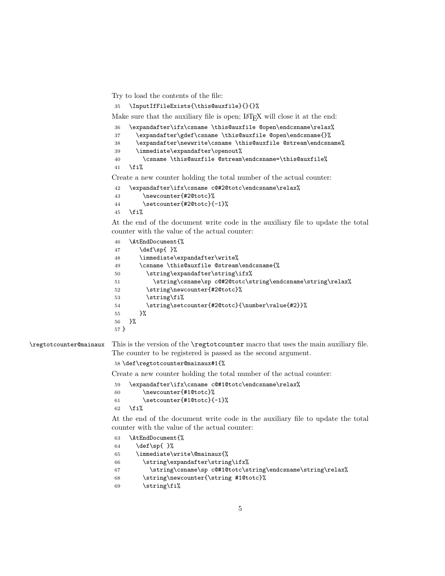Try to load the contents of the file:

\InputIfFileExists{\this@auxfile}{}{}%

Make sure that the auxiliary file is open; LAT<sub>EX</sub> will close it at the end:

```
36 \expandafter\ifx\csname \this@auxfile @open\endcsname\relax%
37 \expandafter\gdef\csname \this@auxfile @open\endcsname{}%
38 \expandafter\newwrite\csname \this@auxfile @stream\endcsname%
39 \immediate\expandafter\openout%
40 \csname \this@auxfile @stream\endcsname=\this@auxfile%
41 \overline{\text{f}i\text{}}
```
Create a new counter holding the total number of the actual counter:

```
42 \expandafter\ifx\csname c@#2@totc\endcsname\relax%
43 \newcounter{#2@totc}%
44 \setcounter{#2@totc}{-1}%
45 \forallfi%
```
At the end of the document write code in the auxiliary file to update the total counter with the value of the actual counter:

```
46 \AtEndDocument{%
47 \def\sp{ }%
48 \immediate\expandafter\write%
49 \csname \this@auxfile @stream\endcsname{%
50 \string\expandafter\string\ifx%
51 \string\csname\sp c@#2@totc\string\endcsname\string\relax%
52 \string\newcounter{#2@totc}%
53 \string\fi%
54 \string\setcounter{#2@totc}{\number\value{#2}}%
55 }%
56 }%
57 }
```
\regtotcounter@mainaux This is the version of the \regtotcounter macro that uses the main auxiliary file. The counter to be registered is passed as the second argument.

\def\regtotcounter@mainaux#1{%

Create a new counter holding the total number of the actual counter:

```
59 \expandafter\ifx\csname c@#1@totc\endcsname\relax%
```

```
60 \newcounter{#1@totc}%
```

```
61 \setcounter{#1@totc}{-1}%
62 \fi%
```
At the end of the document write code in the auxiliary file to update the total counter with the value of the actual counter:

```
63 \AtEndDocument{%
64 \def\sp{ }%
65 \immediate\write\@mainaux{%
66 \string\expandafter\string\ifx%
67 \string\csname\sp c@#1@totc\string\endcsname\string\relax%
68 \string\newcounter{\string #1@totc}%
69 \strut \text{string}
```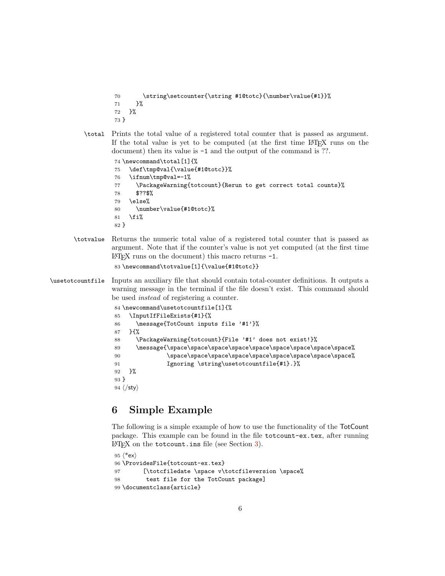```
70 \string\setcounter{\string #1@totc}{\number\value{#1}}%
           71 }%
           72 }%
           73 }
  \total Prints the total value of a registered total counter that is passed as argument.
          If the total value is yet to be computed (at the first time LATEX runs on the
          document) then its value is -1 and the output of the command is ??.
           74 \newcommand\total[1]{%
           75 \def\tmp@val{\value{#1@totc}}%
           76 \ifnum\tmp@val=-1%
           77 \PackageWarning{totcount}{Rerun to get correct total counts}%
           78 $??$%
           79 \else%
           80 \number\value{#1@totc}%
           81 \fi%
           82 }
\totvalue Returns the numeric total value of a registered total counter that is passed as
```

```
argument. Note that if the counter's value is not yet computed (at the first time
\Delta EFIFX runs on the document) this macro returns -1.
```

```
83 \newcommand\totvalue[1]{\value{#1@totc}}
```

```
\usetotcountfile Inputs an auxiliary file that should contain total-counter definitions. It outputs a
                   warning message in the terminal if the file doesn't exist. This command should
                   be used instead of registering a counter.
```

```
84 \newcommand\usetotcountfile[1]{%
85 \InputIfFileExists{#1}{%
86 \message{TotCount inputs file '#1'}%
87 }{%
88 \PackageWarning{totcount}{File '#1' does not exist!}%
89 \message{\space\space\space\space\space\space\space\space\space%
90 \space\space\space\space\space\space\space\space\space%
91 Ignoring \string\usetotcountfile{#1}.}%
92 }%
93 }
94 \langle/sty\rangle
```
### <span id="page-5-0"></span>6 Simple Example

The following is a simple example of how to use the functionality of the TotCount package. This example can be found in the file totcount-ex.tex, after running  $\text{LATEX}$  on the totcount.ins file (see Section [3\)](#page-2-0).

```
95 \langle*ex\rangle96 \ProvidesFile{totcount-ex.tex}
97 [\totcfiledate \space v\totcfileversion \space%
98 test file for the TotCount package]
99 \documentclass{article}
```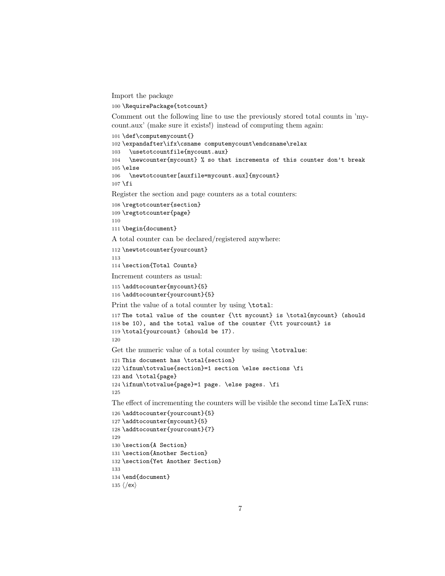Import the package

\RequirePackage{totcount}

Comment out the following line to use the previously stored total counts in 'mycount.aux' (make sure it exists!) instead of computing them again:

```
101 \def\computemycount{}
102 \expandafter\ifx\csname computemycount\endcsname\relax
103 \usetotcountfile{mycount.aux}
104 \newcounter{mycount} % so that increments of this counter don't break
105 \else
106 \newtotcounter[auxfile=mycount.aux]{mycount}
107 \fi
Register the section and page counters as a total counters:
```

```
108 \regtotcounter{section}
109 \regtotcounter{page}
110
111 \begin{document}
```
A total counter can be declared/registered anywhere:

```
112 \newtotcounter{yourcount}
```
\section{Total Counts}

Increment counters as usual:

```
115 \addtocounter{mycount}{5}
116 \addtocounter{yourcount}{5}
```
Print the value of a total counter by using \total:

```
117 The total value of the counter {\tt mycount} is \total{mycount} (should
118 be 10), and the total value of the counter {\tt yourcount} is
119 \total{yourcount} (should be 17).
120
```
Get the numeric value of a total counter by using \totvalue:

```
121 This document has \total{section}
122 \ifnum\totvalue{section}=1 section \else sections \fi
123 and \total{page}
124 \ifnum\totvalue{page}=1 page. \else pages. \fi
125
```
The effect of incrementing the counters will be visible the second time LaTeX runs:

```
126 \addtocounter{yourcount}{5}
127 \addtocounter{mycount}{5}
128 \addtocounter{yourcount}{7}
129
130 \section{A Section}
131 \section{Another Section}
132 \section{Yet Another Section}
133
134 \end{document}
135 \langle/ex\rangle
```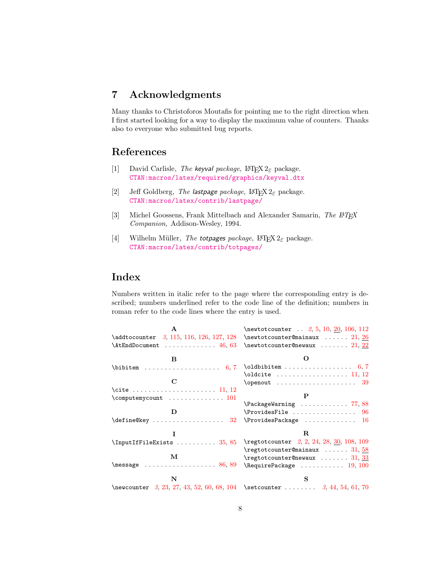## <span id="page-7-0"></span>7 Acknowledgments

Many thanks to Christoforos Moutafis for pointing me to the right direction when I first started looking for a way to display the maximum value of counters. Thanks also to everyone who submitted bug reports.

#### References

- <span id="page-7-4"></span>[1] David Carlisle, The keyval package,  $\mathbb{E} \mathbb{E} \{X \}$  package. [CTAN:macros/latex/required/graphics/keyval.dtx](http://www.ctan.org/tex-archive/macros/latex/required/graphics/keyval.dtx)
- <span id="page-7-2"></span>[2] Jeff Goldberg, The lastpage package,  $\mathbb{H}\text{Ex}2_{\varepsilon}$  package. [CTAN:macros/latex/contrib/lastpage/](http://www.ctan.org/tex-archive/macros/latex/contrib/lastpage/)
- <span id="page-7-3"></span>[3] Michel Goossens, Frank Mittelbach and Alexander Samarin, The LATEX Companion, Addison-Wesley, 1994.
- <span id="page-7-1"></span>[4] Wilhelm Müller, The totpages package,  $\text{LATEX } 2_{\varepsilon}$  package. [CTAN:macros/latex/contrib/totpages/](http://www.ctan.org/tex-archive/macros/latex/contrib/totpages/)

#### Index

Numbers written in italic refer to the page where the corresponding entry is described; numbers underlined refer to the code line of the definition; numbers in roman refer to the code lines where the entry is used.

| $\mathbf{A}$                                                                                 | $\text{between} 2, 5, 10, 20, 106, 112$                                      |
|----------------------------------------------------------------------------------------------|------------------------------------------------------------------------------|
| $\addto counter$ 3, 115, 116, 126, 127, 128                                                  | $\text{newtotcounter}$ $21, 26$                                              |
| $\text{AtEndDocument} \dots \dots \dots \dots \ 46, 63$                                      | $\texttt{\texttt{new}} \dots 21, 22$                                         |
| B                                                                                            |                                                                              |
|                                                                                              |                                                                              |
|                                                                                              | $\delta$ ! $\delta$ 11, 12                                                   |
| C                                                                                            |                                                                              |
| \cite  11, 12                                                                                |                                                                              |
| $\text{Computenycount} \dots \dots \dots \dots \dots 101$                                    | P                                                                            |
|                                                                                              | $\text{PackageWarning} \dots \dots \dots \dots \quad 77, 88$                 |
|                                                                                              | $\ProvidesFile  \ldots  \ldots 96$                                           |
| $\label{cor:main} $$ \define@key \ldots \ldots \ldots 32 \Provides Package \ldots \ldots 16$ |                                                                              |
|                                                                                              | R.                                                                           |
| \InputIfFileExists  35,85                                                                    | \regtotcounter 2, 2, 24, 28, 30, 108, 109                                    |
|                                                                                              | $\text{regtotcounter}$ 31, 58                                                |
| м                                                                                            | $\text{regtotcounterOnewaux} \dots \dots \ 31, \frac{33}{2}$                 |
| $\text{message} \dots \dots \dots \dots \dots \dots \ 86, 89$                                | $\lambda$ RequirePackage  19, 100                                            |
| N                                                                                            | s                                                                            |
|                                                                                              | Nonewcounter $3, 23, 27, 43, 52, 60, 68, 104$ Setcounter $3, 44, 54, 61, 70$ |